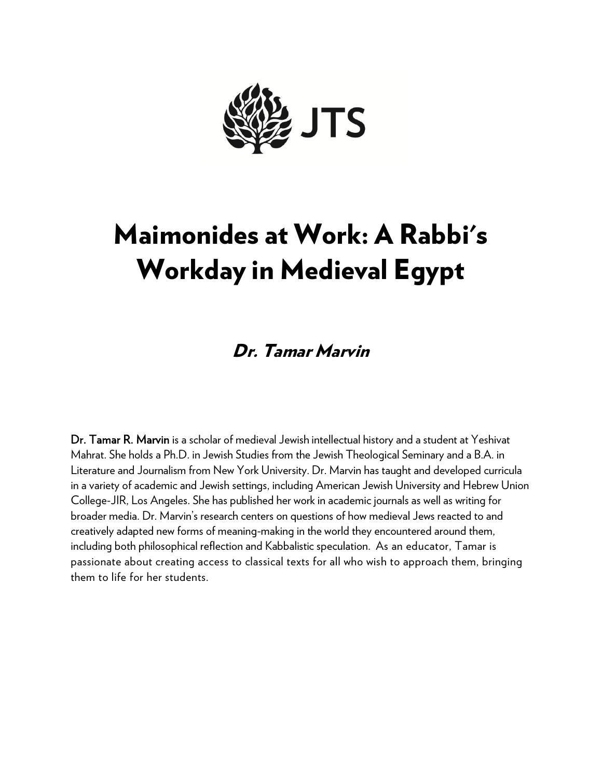

# Maimonides at Work: A Rabbi's Workday in Medieval Egypt

## Dr. Tamar Marvin

Dr. Tamar R. Marvin is a scholar of medieval Jewish intellectual history and a student at Yeshivat Mahrat. She holds a Ph.D. in Jewish Studies from the Jewish Theological Seminary and a B.A. in Literature and Journalism from New York University. Dr. Marvin has taught and developed curricula in a variety of academic and Jewish settings, including American Jewish University and Hebrew Union College-JIR, Los Angeles. She has published her work in academic journals as well as writing for broader media. Dr. Marvin's research centers on questions of how medieval Jews reacted to and creatively adapted new forms of meaning-making in the world they encountered around them, including both philosophical reflection and Kabbalistic speculation. As an educator, Tamar is passionate about creating access to classical texts for all who wish to approach them, bringing them to life for her students.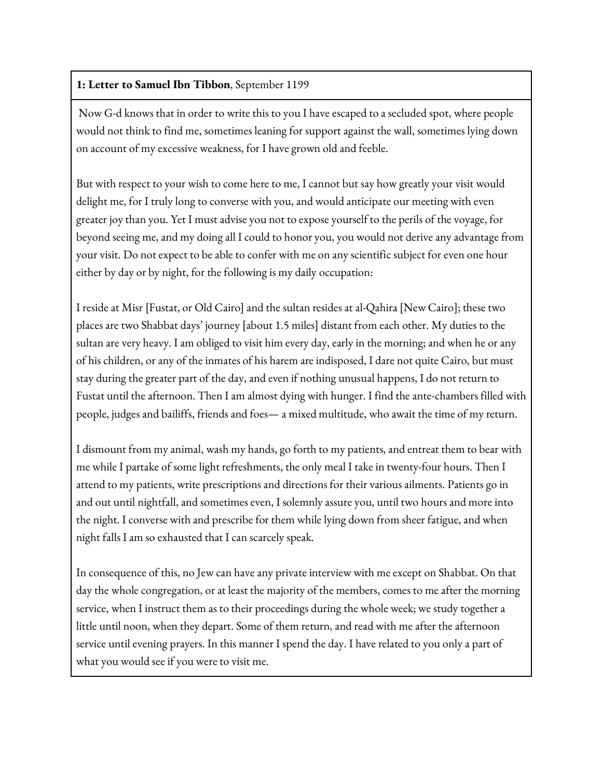### **1: Letter to Samuel Ibn Tibbon**, September 1199

Now G-d knows that in order to write this to you I have escaped to a secluded spot, where people would not think to find me, sometimes leaning for support against the wall, sometimes lying down on account of my excessive weakness, for I have grown old and feeble.

But with respect to your wish to come here to me, I cannot but say how greatly your visit would delight me, for I truly long to converse with you, and would anticipate our meeting with even greater joy than you. Yet I must advise you not to expose yourself to the perils of the voyage, for beyond seeing me, and my doing all I could to honor you, you would not derive any advantage from your visit. Do not expect to be able to confer with me on any scientific subject for even one hour either by day or by night, for the following is my daily occupation:

I reside at Misr [Fustat, or Old Cairo] and the sultan resides at al-Qahira [New Cairo]; these two places are two Shabbat days' journey [about 1.5 miles] distant from each other. My duties to the sultan are very heavy. I am obliged to visit him every day, early in the morning; and when he or any of his children, or any of the inmates of his harem are indisposed, I dare not quite Cairo, but must stay during the greater part of the day, and even if nothing unusual happens, I do not return to Fustat until the afternoon. Then I am almost dying with hunger. I find the ante-chambers filled with people, judges and bailiffs, friends and foes— a mixed multitude, who await the time of my return.

I dismount from my animal, wash my hands, go forth to my patients, and entreat them to bear with me while I partake of some light refreshments, the only meal I take in twenty-four hours. Then I attend to my patients, write prescriptions and directions for their various ailments. Patients go in and out until nightfall, and sometimes even, I solemnly assure you, until two hours and more into the night. I converse with and prescribe for them while lying down from sheer fatigue, and when night falls I am so exhausted that I can scarcely speak.

In consequence of this, no Jew can have any private interview with me except on Shabbat. On that day the whole congregation, or at least the majority of the members, comes to me after the morning service, when I instruct them as to their proceedings during the whole week; we study together a little until noon, when they depart. Some of them return, and read with me after the afternoon service until evening prayers. In this manner I spend the day. I have related to you only a part of what you would see if you were to visit me.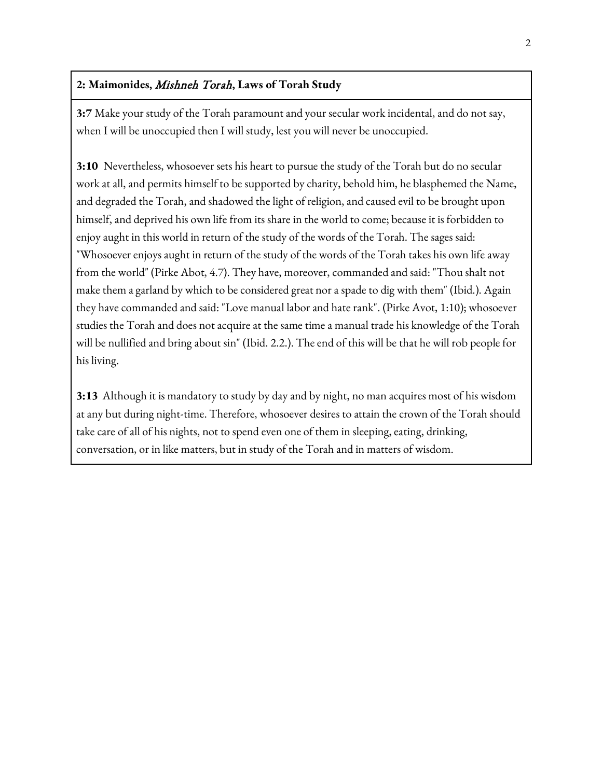#### **2: Maimonides,** Mishneh Torah**, Laws of Torah Study**

**3:7** Make your study of the Torah paramount and your secular work incidental, and do not say, when I will be unoccupied then I will study, lest you will never be unoccupied.

**3:10** Nevertheless, whosoever sets his heart to pursue the study of the Torah but do no secular work at all, and permits himself to be supported by charity, behold him, he blasphemed the Name, and degraded the Torah, and shadowed the light of religion, and caused evil to be brought upon himself, and deprived his own life from its share in the world to come; because it is forbidden to enjoy aught in this world in return of the study of the words of the Torah. The sages said: "Whosoever enjoys aught in return of the study of the words of the Torah takes his own life away from the world" (Pirke Abot, 4.7). They have, moreover, commanded and said: "Thou shalt not make them a garland by which to be considered great nor a spade to dig with them" (Ibid.). Again they have commanded and said: "Love manual labor and hate rank". (Pirke Avot, 1:10); whosoever studies the Torah and does not acquire at the same time a manual trade his knowledge of the Torah will be nullified and bring about sin" (Ibid. 2.2.). The end of this will be that he will rob people for his living.

**3:13** Although it is mandatory to study by day and by night, no man acquires most of his wisdom at any but during night-time. Therefore, whosoever desires to attain the crown of the Torah should take care of all of his nights, not to spend even one of them in sleeping, eating, drinking, conversation, or in like matters, but in study of the Torah and in matters of wisdom.